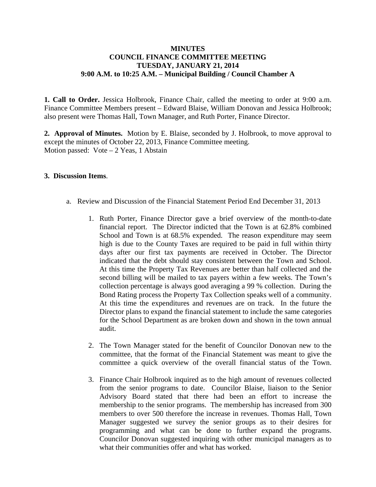## **MINUTES COUNCIL FINANCE COMMITTEE MEETING TUESDAY, JANUARY 21, 2014 9:00 A.M. to 10:25 A.M. – Municipal Building / Council Chamber A**

**1. Call to Order.** Jessica Holbrook, Finance Chair, called the meeting to order at 9:00 a.m. Finance Committee Members present – Edward Blaise, William Donovan and Jessica Holbrook; also present were Thomas Hall, Town Manager, and Ruth Porter, Finance Director.

**2. Approval of Minutes.** Motion by E. Blaise, seconded by J. Holbrook, to move approval to except the minutes of October 22, 2013, Finance Committee meeting. Motion passed: Vote – 2 Yeas, 1 Abstain

## **3. Discussion Items**.

- a. Review and Discussion of the Financial Statement Period End December 31, 2013
	- 1. Ruth Porter, Finance Director gave a brief overview of the month-to-date financial report. The Director indicted that the Town is at 62.8% combined School and Town is at 68.5% expended. The reason expenditure may seem high is due to the County Taxes are required to be paid in full within thirty days after our first tax payments are received in October. The Director indicated that the debt should stay consistent between the Town and School. At this time the Property Tax Revenues are better than half collected and the second billing will be mailed to tax payers within a few weeks. The Town's collection percentage is always good averaging a 99 % collection. During the Bond Rating process the Property Tax Collection speaks well of a community. At this time the expenditures and revenues are on track. In the future the Director plans to expand the financial statement to include the same categories for the School Department as are broken down and shown in the town annual audit.
	- 2. The Town Manager stated for the benefit of Councilor Donovan new to the committee, that the format of the Financial Statement was meant to give the committee a quick overview of the overall financial status of the Town.
	- 3. Finance Chair Holbrook inquired as to the high amount of revenues collected from the senior programs to date. Councilor Blaise, liaison to the Senior Advisory Board stated that there had been an effort to increase the membership to the senior programs. The membership has increased from 300 members to over 500 therefore the increase in revenues. Thomas Hall, Town Manager suggested we survey the senior groups as to their desires for programming and what can be done to further expand the programs. Councilor Donovan suggested inquiring with other municipal managers as to what their communities offer and what has worked.